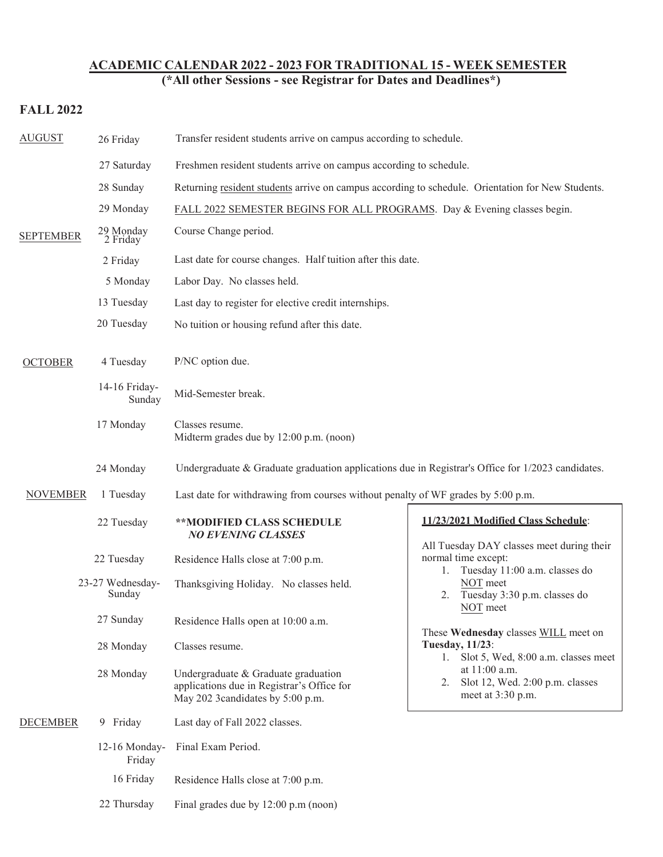## **ACADEMIC CALENDAR 2022 - 2023 FOR TRADITIONAL 15 - WEEK SEMESTER**

**(\*All other Sessions - see Registrar for Dates and Deadlines\*)**

## **FALL 2022**

| <b>AUGUST</b>    | 26 Friday                  | Transfer resident students arrive on campus according to schedule.                                                                                                                                                                                    |                                                                                                                                                                                                                                                                                                                                                                                                            |  |
|------------------|----------------------------|-------------------------------------------------------------------------------------------------------------------------------------------------------------------------------------------------------------------------------------------------------|------------------------------------------------------------------------------------------------------------------------------------------------------------------------------------------------------------------------------------------------------------------------------------------------------------------------------------------------------------------------------------------------------------|--|
| <b>SEPTEMBER</b> | 27 Saturday                | Freshmen resident students arrive on campus according to schedule.                                                                                                                                                                                    |                                                                                                                                                                                                                                                                                                                                                                                                            |  |
|                  | 28 Sunday                  | Returning resident students arrive on campus according to schedule. Orientation for New Students.                                                                                                                                                     |                                                                                                                                                                                                                                                                                                                                                                                                            |  |
|                  | 29 Monday                  | FALL 2022 SEMESTER BEGINS FOR ALL PROGRAMS. Day & Evening classes begin.                                                                                                                                                                              |                                                                                                                                                                                                                                                                                                                                                                                                            |  |
|                  | 29 Monday<br>2 Friday      | Course Change period.                                                                                                                                                                                                                                 |                                                                                                                                                                                                                                                                                                                                                                                                            |  |
|                  | 2 Friday                   | Last date for course changes. Half tuition after this date.                                                                                                                                                                                           |                                                                                                                                                                                                                                                                                                                                                                                                            |  |
|                  | 5 Monday                   | Labor Day. No classes held.                                                                                                                                                                                                                           |                                                                                                                                                                                                                                                                                                                                                                                                            |  |
|                  | 13 Tuesday                 | Last day to register for elective credit internships.                                                                                                                                                                                                 |                                                                                                                                                                                                                                                                                                                                                                                                            |  |
|                  | 20 Tuesday                 | No tuition or housing refund after this date.                                                                                                                                                                                                         |                                                                                                                                                                                                                                                                                                                                                                                                            |  |
| <b>OCTOBER</b>   | 4 Tuesday                  | P/NC option due.                                                                                                                                                                                                                                      |                                                                                                                                                                                                                                                                                                                                                                                                            |  |
|                  | 14-16 Friday-<br>Sunday    | Mid-Semester break.                                                                                                                                                                                                                                   |                                                                                                                                                                                                                                                                                                                                                                                                            |  |
|                  | 17 Monday                  | Classes resume.<br>Midterm grades due by 12:00 p.m. (noon)<br>Undergraduate & Graduate graduation applications due in Registrar's Office for $1/2023$ candidates.<br>Last date for withdrawing from courses without penalty of WF grades by 5:00 p.m. |                                                                                                                                                                                                                                                                                                                                                                                                            |  |
|                  | 24 Monday                  |                                                                                                                                                                                                                                                       |                                                                                                                                                                                                                                                                                                                                                                                                            |  |
| <b>NOVEMBER</b>  | 1 Tuesday                  |                                                                                                                                                                                                                                                       |                                                                                                                                                                                                                                                                                                                                                                                                            |  |
|                  | 22 Tuesday                 | **MODIFIED CLASS SCHEDULE<br><b>NO EVENING CLASSES</b>                                                                                                                                                                                                | 11/23/2021 Modified Class Schedule:<br>All Tuesday DAY classes meet during their<br>normal time except:<br>Tuesday 11:00 a.m. classes do<br>1.<br>NOT meet<br>Tuesday 3:30 p.m. classes do<br>2.<br>NOT meet<br>These Wednesday classes WILL meet on<br><b>Tuesday, 11/23:</b><br>Slot 5, Wed, 8:00 a.m. classes meet<br>1.<br>at 11:00 a.m.<br>Slot 12, Wed. 2:00 p.m. classes<br>2.<br>meet at 3:30 p.m. |  |
|                  | 22 Tuesday                 | Residence Halls close at 7:00 p.m.                                                                                                                                                                                                                    |                                                                                                                                                                                                                                                                                                                                                                                                            |  |
|                  | 23-27 Wednesday-<br>Sunday | Thanksgiving Holiday. No classes held.                                                                                                                                                                                                                |                                                                                                                                                                                                                                                                                                                                                                                                            |  |
|                  | 27 Sunday                  | Residence Halls open at 10:00 a.m.                                                                                                                                                                                                                    |                                                                                                                                                                                                                                                                                                                                                                                                            |  |
|                  | 28 Monday                  | Classes resume.                                                                                                                                                                                                                                       |                                                                                                                                                                                                                                                                                                                                                                                                            |  |
|                  | 28 Monday                  | Undergraduate & Graduate graduation<br>applications due in Registrar's Office for<br>May 202 3candidates by 5:00 p.m.                                                                                                                                 |                                                                                                                                                                                                                                                                                                                                                                                                            |  |
| <b>DECEMBER</b>  | 9 Friday                   | Last day of Fall 2022 classes.                                                                                                                                                                                                                        |                                                                                                                                                                                                                                                                                                                                                                                                            |  |
|                  | 12-16 Monday-<br>Friday    | Final Exam Period.<br>Residence Halls close at 7:00 p.m.<br>Final grades due by 12:00 p.m (noon)                                                                                                                                                      |                                                                                                                                                                                                                                                                                                                                                                                                            |  |
|                  | 16 Friday                  |                                                                                                                                                                                                                                                       |                                                                                                                                                                                                                                                                                                                                                                                                            |  |
|                  | 22 Thursday                |                                                                                                                                                                                                                                                       |                                                                                                                                                                                                                                                                                                                                                                                                            |  |